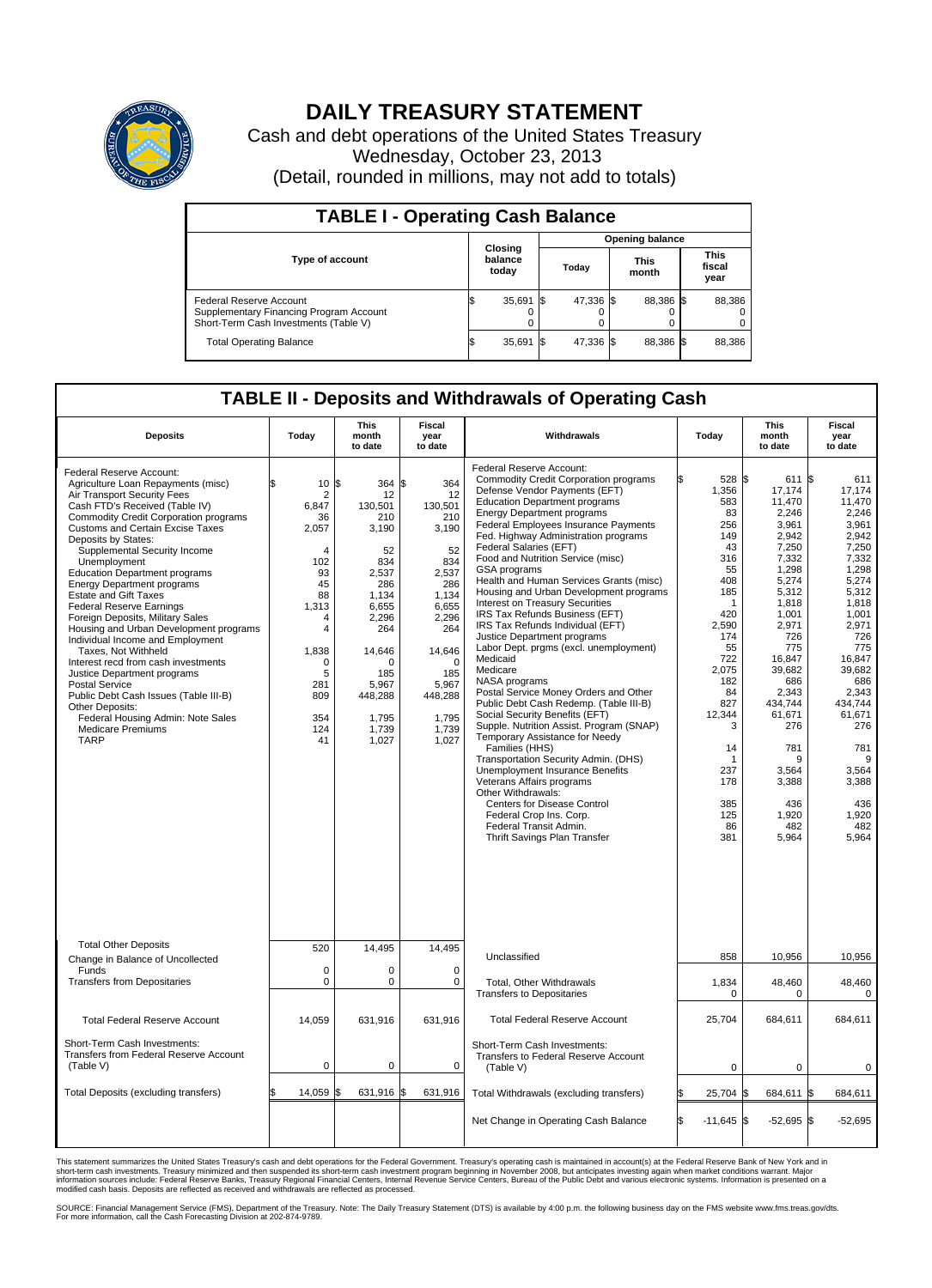

## **DAILY TREASURY STATEMENT**

Cash and debt operations of the United States Treasury Wednesday, October 23, 2013 (Detail, rounded in millions, may not add to totals)

| <b>TABLE I - Operating Cash Balance</b>                                                                     |  |                             |       |                        |  |                      |  |                               |  |  |  |
|-------------------------------------------------------------------------------------------------------------|--|-----------------------------|-------|------------------------|--|----------------------|--|-------------------------------|--|--|--|
|                                                                                                             |  |                             |       | <b>Opening balance</b> |  |                      |  |                               |  |  |  |
| <b>Type of account</b>                                                                                      |  | Closing<br>balance<br>today | Today |                        |  | <b>This</b><br>month |  | <b>This</b><br>fiscal<br>year |  |  |  |
| Federal Reserve Account<br>Supplementary Financing Program Account<br>Short-Term Cash Investments (Table V) |  | 35,691                      | 1\$   | 47.336 \$              |  | 88,386 \$            |  | 88,386                        |  |  |  |
| <b>Total Operating Balance</b>                                                                              |  | 35,691                      | 15    | 47,336 \$              |  | 88,386 \$            |  | 88,386                        |  |  |  |

## **TABLE II - Deposits and Withdrawals of Operating Cash**

| <b>Deposits</b>                                                                                                                                                                                                                                                                                                                                                                                                                                                                                                                                                                                                                                                                                                                                                                                                                | Today                                                                                                                                                                                         | <b>This</b><br>month<br>to date                                                                                                                                             | <b>Fiscal</b><br>year<br>to date                                                                                                                                                | Withdrawals                                                                                                                                                                                                                                                                                                                                                                                                                                                                                                                                                                                                                                                                                                                                                                                                                                                                                                                                                                                                                                                                                                                                                              | Today                                                                                                                                                                                                                                          | <b>This</b><br>month<br>to date                                                                                                                                                                                                                                        | <b>Fiscal</b><br>year<br>to date                                                                                                                                                                                                                                              |  |  |  |
|--------------------------------------------------------------------------------------------------------------------------------------------------------------------------------------------------------------------------------------------------------------------------------------------------------------------------------------------------------------------------------------------------------------------------------------------------------------------------------------------------------------------------------------------------------------------------------------------------------------------------------------------------------------------------------------------------------------------------------------------------------------------------------------------------------------------------------|-----------------------------------------------------------------------------------------------------------------------------------------------------------------------------------------------|-----------------------------------------------------------------------------------------------------------------------------------------------------------------------------|---------------------------------------------------------------------------------------------------------------------------------------------------------------------------------|--------------------------------------------------------------------------------------------------------------------------------------------------------------------------------------------------------------------------------------------------------------------------------------------------------------------------------------------------------------------------------------------------------------------------------------------------------------------------------------------------------------------------------------------------------------------------------------------------------------------------------------------------------------------------------------------------------------------------------------------------------------------------------------------------------------------------------------------------------------------------------------------------------------------------------------------------------------------------------------------------------------------------------------------------------------------------------------------------------------------------------------------------------------------------|------------------------------------------------------------------------------------------------------------------------------------------------------------------------------------------------------------------------------------------------|------------------------------------------------------------------------------------------------------------------------------------------------------------------------------------------------------------------------------------------------------------------------|-------------------------------------------------------------------------------------------------------------------------------------------------------------------------------------------------------------------------------------------------------------------------------|--|--|--|
| Federal Reserve Account:<br>Agriculture Loan Repayments (misc)<br>Air Transport Security Fees<br>Cash FTD's Received (Table IV)<br><b>Commodity Credit Corporation programs</b><br><b>Customs and Certain Excise Taxes</b><br>Deposits by States:<br>Supplemental Security Income<br>Unemployment<br><b>Education Department programs</b><br><b>Energy Department programs</b><br><b>Estate and Gift Taxes</b><br><b>Federal Reserve Earnings</b><br>Foreign Deposits, Military Sales<br>Housing and Urban Development programs<br>Individual Income and Employment<br>Taxes. Not Withheld<br>Interest recd from cash investments<br>Justice Department programs<br>Postal Service<br>Public Debt Cash Issues (Table III-B)<br>Other Deposits:<br>Federal Housing Admin: Note Sales<br><b>Medicare Premiums</b><br><b>TARP</b> | 10S<br>\$<br>$\overline{2}$<br>6,847<br>36<br>2,057<br>$\overline{4}$<br>102<br>93<br>45<br>88<br>1,313<br>4<br>$\overline{4}$<br>1,838<br>$\mathbf 0$<br>5<br>281<br>809<br>354<br>124<br>41 | 364 \$<br>12<br>130.501<br>210<br>3,190<br>52<br>834<br>2,537<br>286<br>1,134<br>6,655<br>2,296<br>264<br>14,646<br>n<br>185<br>5,967<br>448,288<br>1,795<br>1,739<br>1,027 | 364<br>12<br>130,501<br>210<br>3,190<br>52<br>834<br>2,537<br>286<br>1,134<br>6,655<br>2,296<br>264<br>14,646<br>$\Omega$<br>185<br>5,967<br>448,288<br>1,795<br>1,739<br>1,027 | Federal Reserve Account:<br><b>Commodity Credit Corporation programs</b><br>Defense Vendor Payments (EFT)<br><b>Education Department programs</b><br><b>Energy Department programs</b><br><b>Federal Employees Insurance Payments</b><br>Fed. Highway Administration programs<br>Federal Salaries (EFT)<br>Food and Nutrition Service (misc)<br><b>GSA</b> programs<br>Health and Human Services Grants (misc)<br>Housing and Urban Development programs<br>Interest on Treasury Securities<br>IRS Tax Refunds Business (EFT)<br>IRS Tax Refunds Individual (EFT)<br>Justice Department programs<br>Labor Dept. prgms (excl. unemployment)<br>Medicaid<br>Medicare<br>NASA programs<br>Postal Service Money Orders and Other<br>Public Debt Cash Redemp. (Table III-B)<br>Social Security Benefits (EFT)<br>Supple. Nutrition Assist. Program (SNAP)<br>Temporary Assistance for Needy<br>Families (HHS)<br>Transportation Security Admin. (DHS)<br><b>Unemployment Insurance Benefits</b><br>Veterans Affairs programs<br>Other Withdrawals:<br><b>Centers for Disease Control</b><br>Federal Crop Ins. Corp.<br>Federal Transit Admin.<br>Thrift Savings Plan Transfer | 528 \$<br>ß<br>1,356<br>583<br>83<br>256<br>149<br>43<br>316<br>55<br>408<br>185<br>$\mathbf{1}$<br>420<br>2,590<br>174<br>55<br>722<br>2,075<br>182<br>84<br>827<br>12,344<br>3<br>14<br>$\mathbf 1$<br>237<br>178<br>385<br>125<br>86<br>381 | 611<br>17,174<br>11,470<br>2,246<br>3,961<br>2,942<br>7,250<br>7,332<br>1,298<br>5,274<br>5,312<br>1,818<br>1,001<br>2,971<br>726<br>775<br>16,847<br>39,682<br>686<br>2,343<br>434,744<br>61,671<br>276<br>781<br>9<br>3,564<br>3,388<br>436<br>1,920<br>482<br>5,964 | 1\$<br>611<br>17,174<br>11.470<br>2,246<br>3,961<br>2.942<br>7,250<br>7,332<br>1.298<br>5,274<br>5,312<br>1,818<br>1.001<br>2,971<br>726<br>775<br>16,847<br>39.682<br>686<br>2,343<br>434.744<br>61,671<br>276<br>781<br>9<br>3,564<br>3,388<br>436<br>1,920<br>482<br>5,964 |  |  |  |
| <b>Total Other Deposits</b>                                                                                                                                                                                                                                                                                                                                                                                                                                                                                                                                                                                                                                                                                                                                                                                                    | 520                                                                                                                                                                                           | 14,495                                                                                                                                                                      | 14,495                                                                                                                                                                          | Unclassified                                                                                                                                                                                                                                                                                                                                                                                                                                                                                                                                                                                                                                                                                                                                                                                                                                                                                                                                                                                                                                                                                                                                                             | 858                                                                                                                                                                                                                                            | 10,956                                                                                                                                                                                                                                                                 | 10,956                                                                                                                                                                                                                                                                        |  |  |  |
| Change in Balance of Uncollected<br>Funds                                                                                                                                                                                                                                                                                                                                                                                                                                                                                                                                                                                                                                                                                                                                                                                      | $\mathbf 0$                                                                                                                                                                                   | 0                                                                                                                                                                           | $\mathbf 0$                                                                                                                                                                     |                                                                                                                                                                                                                                                                                                                                                                                                                                                                                                                                                                                                                                                                                                                                                                                                                                                                                                                                                                                                                                                                                                                                                                          |                                                                                                                                                                                                                                                |                                                                                                                                                                                                                                                                        |                                                                                                                                                                                                                                                                               |  |  |  |
| <b>Transfers from Depositaries</b>                                                                                                                                                                                                                                                                                                                                                                                                                                                                                                                                                                                                                                                                                                                                                                                             | $\mathbf 0$                                                                                                                                                                                   | 0                                                                                                                                                                           | $\mathbf 0$                                                                                                                                                                     | Total, Other Withdrawals<br><b>Transfers to Depositaries</b>                                                                                                                                                                                                                                                                                                                                                                                                                                                                                                                                                                                                                                                                                                                                                                                                                                                                                                                                                                                                                                                                                                             | 1,834<br>$\mathbf 0$                                                                                                                                                                                                                           | 48,460<br>0                                                                                                                                                                                                                                                            | 48,460<br>$\mathbf 0$                                                                                                                                                                                                                                                         |  |  |  |
| <b>Total Federal Reserve Account</b>                                                                                                                                                                                                                                                                                                                                                                                                                                                                                                                                                                                                                                                                                                                                                                                           | 14,059                                                                                                                                                                                        | 631,916                                                                                                                                                                     | 631,916                                                                                                                                                                         | <b>Total Federal Reserve Account</b>                                                                                                                                                                                                                                                                                                                                                                                                                                                                                                                                                                                                                                                                                                                                                                                                                                                                                                                                                                                                                                                                                                                                     | 25,704                                                                                                                                                                                                                                         | 684,611                                                                                                                                                                                                                                                                | 684,611                                                                                                                                                                                                                                                                       |  |  |  |
| Short-Term Cash Investments:<br>Transfers from Federal Reserve Account<br>(Table V)                                                                                                                                                                                                                                                                                                                                                                                                                                                                                                                                                                                                                                                                                                                                            | 0                                                                                                                                                                                             | 0                                                                                                                                                                           | 0                                                                                                                                                                               | Short-Term Cash Investments:<br>Transfers to Federal Reserve Account<br>(Table V)                                                                                                                                                                                                                                                                                                                                                                                                                                                                                                                                                                                                                                                                                                                                                                                                                                                                                                                                                                                                                                                                                        | 0                                                                                                                                                                                                                                              | 0                                                                                                                                                                                                                                                                      | 0                                                                                                                                                                                                                                                                             |  |  |  |
| Total Deposits (excluding transfers)                                                                                                                                                                                                                                                                                                                                                                                                                                                                                                                                                                                                                                                                                                                                                                                           | 14,059<br>\$                                                                                                                                                                                  | 631,916 \$<br>ß.                                                                                                                                                            | 631,916                                                                                                                                                                         | Total Withdrawals (excluding transfers)                                                                                                                                                                                                                                                                                                                                                                                                                                                                                                                                                                                                                                                                                                                                                                                                                                                                                                                                                                                                                                                                                                                                  | 25,704<br>\$                                                                                                                                                                                                                                   | 684,611<br>I\$                                                                                                                                                                                                                                                         | 1\$<br>684,611                                                                                                                                                                                                                                                                |  |  |  |
|                                                                                                                                                                                                                                                                                                                                                                                                                                                                                                                                                                                                                                                                                                                                                                                                                                |                                                                                                                                                                                               |                                                                                                                                                                             |                                                                                                                                                                                 | Net Change in Operating Cash Balance                                                                                                                                                                                                                                                                                                                                                                                                                                                                                                                                                                                                                                                                                                                                                                                                                                                                                                                                                                                                                                                                                                                                     | l\$<br>$-11,645$ \$                                                                                                                                                                                                                            | $-52,695$ \$                                                                                                                                                                                                                                                           | $-52,695$                                                                                                                                                                                                                                                                     |  |  |  |

This statement summarizes the United States Treasury's cash and debt operations for the Federal Government. Treasury's operating cash is maintained in account(s) at the Federal Reserve Bank of New York and in<br>short-term ca

SOURCE: Financial Management Service (FMS), Department of the Treasury. Note: The Daily Treasury Statement (DTS) is available by 4:00 p.m. the following business day on the FMS website www.fms.treas.gov/dts.<br>For more infor